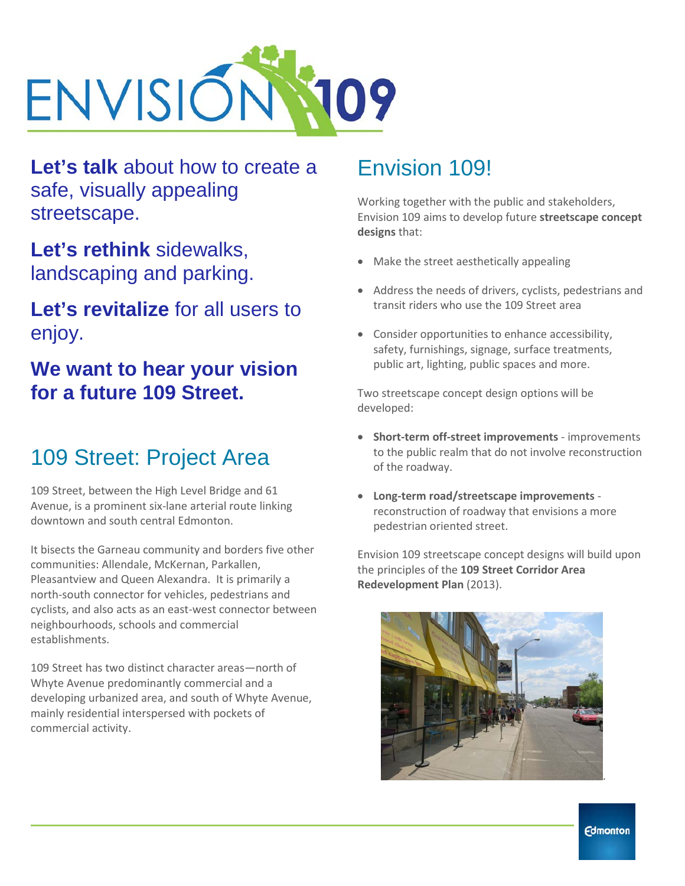

**Let's talk** about how to create a safe, visually appealing streetscape.

**Let's rethink** sidewalks, landscaping and parking.

#### **Let's revitalize** for all users to enjoy.

### **We want to hear your vision for a future 109 Street.**

## 109 Street: Project Area

109 Street, between the High Level Bridge and 61 Avenue, is a prominent six-lane arterial route linking downtown and south central Edmonton.

It bisects the Garneau community and borders five other communities: Allendale, McKernan, Parkallen, Pleasantview and Queen Alexandra. It is primarily a north-south connector for vehicles, pedestrians and cyclists, and also acts as an east-west connector between neighbourhoods, schools and commercial establishments.

109 Street has two distinct character areas—north of Whyte Avenue predominantly commercial and a developing urbanized area, and south of Whyte Avenue, mainly residential interspersed with pockets of commercial activity.

## Envision 109!

Working together with the public and stakeholders, Envision 109 aims to develop future **streetscape concept designs** that:

- Make the street aesthetically appealing
- Address the needs of drivers, cyclists, pedestrians and transit riders who use the 109 Street area
- Consider opportunities to enhance accessibility, safety, furnishings, signage, surface treatments, public art, lighting, public spaces and more.

Two streetscape concept design options will be developed:

- **Short-term off-street improvements**  improvements to the public realm that do not involve reconstruction of the roadway.
- **Long-term road/streetscape improvements**  reconstruction of roadway that envisions a more pedestrian oriented street.

Envision 109 streetscape concept designs will build upon the principles of the **109 Street Corridor Area Redevelopment Plan** (2013).